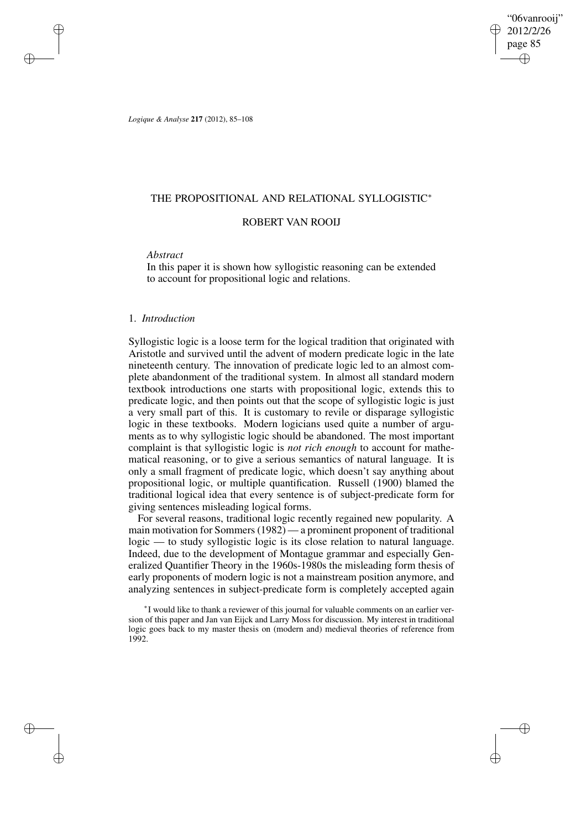"06vanrooij" 2012/2/26 page 85 ✐ ✐

✐

✐

*Logique & Analyse* **217** (2012), 85–108

# THE PROPOSITIONAL AND RELATIONAL SYLLOGISTIC<sup>∗</sup>

# ROBERT VAN ROOIJ

## *Abstract*

✐

✐

✐

✐

In this paper it is shown how syllogistic reasoning can be extended to account for propositional logic and relations.

# 1. *Introduction*

Syllogistic logic is a loose term for the logical tradition that originated with Aristotle and survived until the advent of modern predicate logic in the late nineteenth century. The innovation of predicate logic led to an almost complete abandonment of the traditional system. In almost all standard modern textbook introductions one starts with propositional logic, extends this to predicate logic, and then points out that the scope of syllogistic logic is just a very small part of this. It is customary to revile or disparage syllogistic logic in these textbooks. Modern logicians used quite a number of arguments as to why syllogistic logic should be abandoned. The most important complaint is that syllogistic logic is *not rich enough* to account for mathematical reasoning, or to give a serious semantics of natural language. It is only a small fragment of predicate logic, which doesn't say anything about propositional logic, or multiple quantification. Russell (1900) blamed the traditional logical idea that every sentence is of subject-predicate form for giving sentences misleading logical forms.

For several reasons, traditional logic recently regained new popularity. A main motivation for Sommers(1982) — a prominent proponent of traditional logic — to study syllogistic logic is its close relation to natural language. Indeed, due to the development of Montague grammar and especially Generalized Quantifier Theory in the 1960s-1980s the misleading form thesis of early proponents of modern logic is not a mainstream position anymore, and analyzing sentences in subject-predicate form is completely accepted again

∗ I would like to thank a reviewer of this journal for valuable comments on an earlier version of this paper and Jan van Eijck and Larry Moss for discussion. My interest in traditional logic goes back to my master thesis on (modern and) medieval theories of reference from 1992.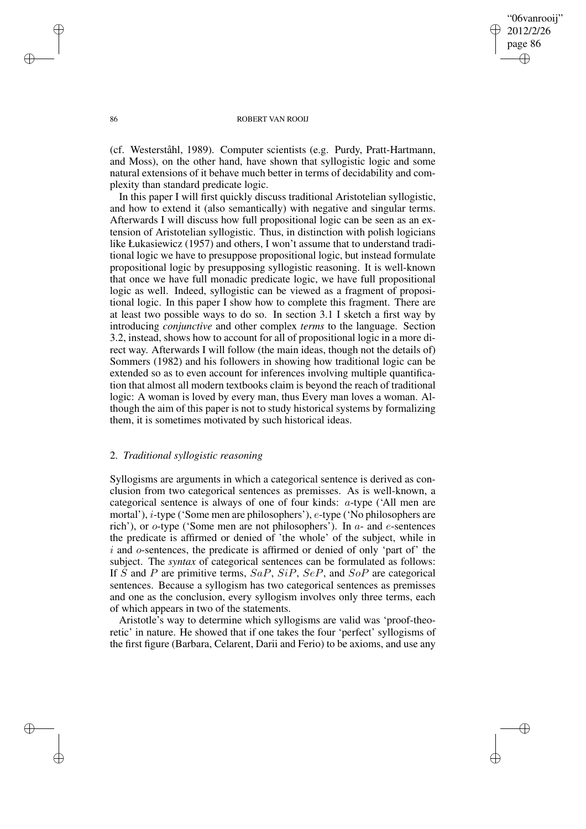"06vanrooij" 2012/2/26 page 86 ✐ ✐

✐

✐

#### 86 ROBERT VAN ROOIJ

(cf. Westerståhl, 1989). Computer scientists (e.g. Purdy, Pratt-Hartmann, and Moss), on the other hand, have shown that syllogistic logic and some natural extensions of it behave much better in terms of decidability and complexity than standard predicate logic.

In this paper I will first quickly discuss traditional Aristotelian syllogistic, and how to extend it (also semantically) with negative and singular terms. Afterwards I will discuss how full propositional logic can be seen as an extension of Aristotelian syllogistic. Thus, in distinction with polish logicians like Łukasiewicz (1957) and others, I won't assume that to understand traditional logic we have to presuppose propositional logic, but instead formulate propositional logic by presupposing syllogistic reasoning. It is well-known that once we have full monadic predicate logic, we have full propositional logic as well. Indeed, syllogistic can be viewed as a fragment of propositional logic. In this paper I show how to complete this fragment. There are at least two possible ways to do so. In section 3.1 I sketch a first way by introducing *conjunctive* and other complex *terms* to the language. Section 3.2, instead, shows how to account for all of propositional logic in a more direct way. Afterwards I will follow (the main ideas, though not the details of) Sommers (1982) and his followers in showing how traditional logic can be extended so as to even account for inferences involving multiple quantification that almost all modern textbooks claim is beyond the reach of traditional logic: A woman is loved by every man, thus Every man loves a woman. Although the aim of this paper is not to study historical systems by formalizing them, it is sometimes motivated by such historical ideas.

# 2. *Traditional syllogistic reasoning*

Syllogisms are arguments in which a categorical sentence is derived as conclusion from two categorical sentences as premisses. As is well-known, a categorical sentence is always of one of four kinds: a-type ('All men are mortal'), i-type ('Some men are philosophers'), e-type ('No philosophers are rich'), or  $o$ -type ('Some men are not philosophers'). In  $a$ - and  $e$ -sentences the predicate is affirmed or denied of 'the whole' of the subject, while in i and o-sentences, the predicate is affirmed or denied of only 'part of' the subject. The *syntax* of categorical sentences can be formulated as follows: If S and P are primitive terms,  $SaP$ ,  $SiP$ ,  $SeP$ , and  $SoP$  are categorical sentences. Because a syllogism has two categorical sentences as premisses and one as the conclusion, every syllogism involves only three terms, each of which appears in two of the statements.

Aristotle's way to determine which syllogisms are valid was 'proof-theoretic' in nature. He showed that if one takes the four 'perfect' syllogisms of the first figure (Barbara, Celarent, Darii and Ferio) to be axioms, and use any

✐

✐

✐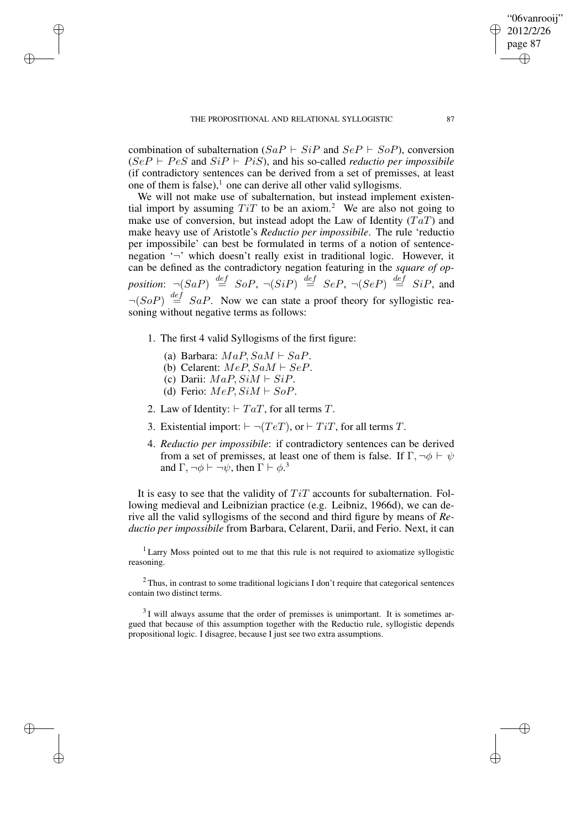combination of subalternation  $(SaP \vdash SiP \text{ and } SeP \vdash SoP)$ , conversion  $(SeP \vdash Pes \text{ and } SiP \vdash PisS)$ , and his so-called *reductio per impossibile* (if contradictory sentences can be derived from a set of premisses, at least one of them is false), $\frac{1}{2}$  one can derive all other valid syllogisms.

We will not make use of subalternation, but instead implement existential import by assuming  $TiT$  to be an axiom.<sup>2</sup> We are also not going to make use of conversion, but instead adopt the Law of Identity  $(TaT)$  and make heavy use of Aristotle's *Reductio per impossibile*. The rule 'reductio per impossibile' can best be formulated in terms of a notion of sentencenegation '¬' which doesn't really exist in traditional logic. However, it can be defined as the contradictory negation featuring in the *square of op*position:  $\neg(SaP) \stackrel{def}{=} SoP$ ,  $\neg(SiP) \stackrel{def}{=} SeP$ ,  $\neg(SeP) \stackrel{def}{=} SiP$ , and  $\neg(SoP) \stackrel{def}{=} SaP$ . Now we can state a proof theory for syllogistic reasoning without negative terms as follows:

- 1. The first 4 valid Syllogisms of the first figure:
	- (a) Barbara:  $MaP, SaM \vdash SaP$ .
	- (b) Celarent:  $MeP, SaM \vdash SeP$ .
	- (c) Darii:  $MaP, SiM \vdash SiP$ .

✐

✐

✐

✐

- (d) Ferio:  $MeP, SiM \vdash SoP$ .
- 2. Law of Identity:  $\vdash TaT$ , for all terms T.
- 3. Existential import:  $\vdash \neg(TeT)$ , or  $\vdash TiT$ , for all terms T.
- 4. *Reductio per impossibile*: if contradictory sentences can be derived from a set of premisses, at least one of them is false. If  $\Gamma, \neg \phi \vdash \psi$ and  $\Gamma$ ,  $\neg \phi \vdash \neg \psi$ , then  $\Gamma \vdash \phi$ .<sup>3</sup>

It is easy to see that the validity of  $TiT$  accounts for subalternation. Following medieval and Leibnizian practice (e.g. Leibniz, 1966d), we can derive all the valid syllogisms of the second and third figure by means of *Reductio per impossibile* from Barbara, Celarent, Darii, and Ferio. Next, it can

<sup>1</sup> Larry Moss pointed out to me that this rule is not required to axiomatize syllogistic reasoning.

 $2$  Thus, in contrast to some traditional logicians I don't require that categorical sentences contain two distinct terms.

 $3$ I will always assume that the order of premisses is unimportant. It is sometimes argued that because of this assumption together with the Reductio rule, syllogistic depends propositional logic. I disagree, because I just see two extra assumptions.

"06vanrooij" 2012/2/26 page 87

✐

✐

✐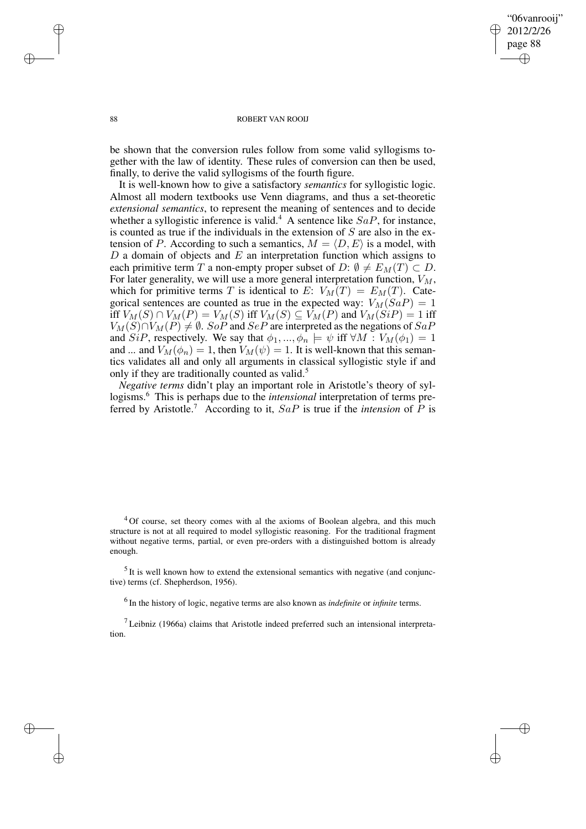#### 88 ROBERT VAN ROOIJ

"06vanrooij" 2012/2/26 page 88

✐

✐

✐

✐

be shown that the conversion rules follow from some valid syllogisms together with the law of identity. These rules of conversion can then be used, finally, to derive the valid syllogisms of the fourth figure.

It is well-known how to give a satisfactory *semantics* for syllogistic logic. Almost all modern textbooks use Venn diagrams, and thus a set-theoretic *extensional semantics*, to represent the meaning of sentences and to decide whether a syllogistic inference is valid.<sup>4</sup> A sentence like  $SaP$ , for instance, is counted as true if the individuals in the extension of  $S$  are also in the extension of P. According to such a semantics,  $M = \langle D, E \rangle$  is a model, with  $D$  a domain of objects and  $E$  an interpretation function which assigns to each primitive term T a non-empty proper subset of  $D: \emptyset \neq E_M(T) \subset D$ . For later generality, we will use a more general interpretation function,  $V_M$ , which for primitive terms T is identical to E:  $V_M(T) = E_M(T)$ . Categorical sentences are counted as true in the expected way:  $V_M(SaP) = 1$ iff  $V_M(S) \cap V_M(P) = V_M(S)$  iff  $V_M(S) \subseteq V_M(P)$  and  $V_M(SiP) = 1$  iff  $V_M(S) \cap V_M(P) \neq \emptyset$ . SoP and SeP are interpreted as the negations of SaP and SiP, respectively. We say that  $\phi_1, ..., \phi_n \models \psi$  iff  $\forall M : V_M(\phi_1) = 1$ and ... and  $V_M(\phi_n) = 1$ , then  $V_M(\psi) = 1$ . It is well-known that this semantics validates all and only all arguments in classical syllogistic style if and only if they are traditionally counted as valid.<sup>5</sup>

*Negative terms* didn't play an important role in Aristotle's theory of syllogisms.<sup>6</sup> This is perhaps due to the *intensional* interpretation of terms preferred by Aristotle.<sup>7</sup> According to it,  $SaP$  is true if the *intension* of  $\overrightarrow{P}$  is

<sup>4</sup>Of course, set theory comes with al the axioms of Boolean algebra, and this much structure is not at all required to model syllogistic reasoning. For the traditional fragment without negative terms, partial, or even pre-orders with a distinguished bottom is already enough.

 $<sup>5</sup>$  It is well known how to extend the extensional semantics with negative (and conjunc-</sup> tive) terms (cf. Shepherdson, 1956).

6 In the history of logic, negative terms are also known as *indefinite* or *infinite* terms.

 $<sup>7</sup>$  Leibniz (1966a) claims that Aristotle indeed preferred such an intensional interpreta-</sup> tion.

✐

✐

✐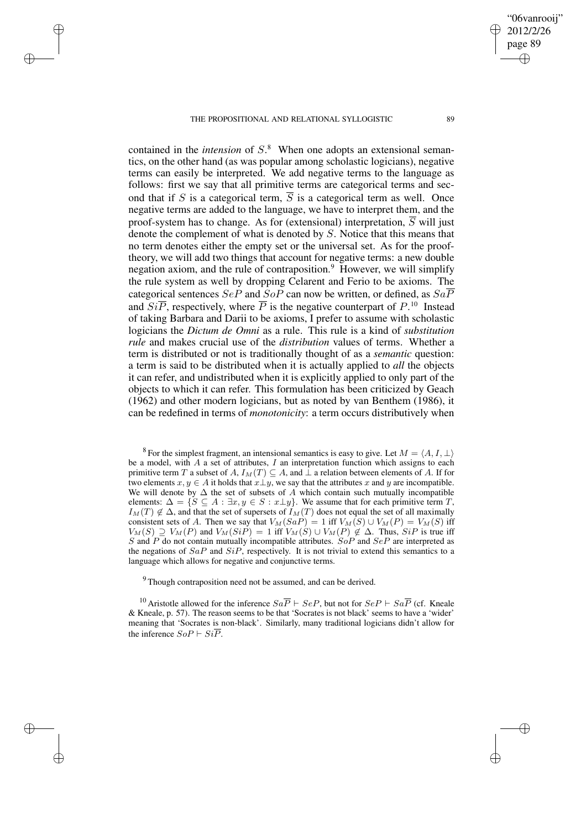### THE PROPOSITIONAL AND RELATIONAL SYLLOGISTIC 89

✐

✐

✐

✐

contained in the *intension* of S. <sup>8</sup> When one adopts an extensional semantics, on the other hand (as was popular among scholastic logicians), negative terms can easily be interpreted. We add negative terms to the language as follows: first we say that all primitive terms are categorical terms and second that if S is a categorical term,  $\overline{S}$  is a categorical term as well. Once negative terms are added to the language, we have to interpret them, and the proof-system has to change. As for (extensional) interpretation,  $\overline{S}$  will just denote the complement of what is denoted by S. Notice that this means that no term denotes either the empty set or the universal set. As for the prooftheory, we will add two things that account for negative terms: a new double negation axiom, and the rule of contraposition.<sup>9</sup> However, we will simplify the rule system as well by dropping Celarent and Ferio to be axioms. The categorical sentences  $SeP$  and  $SoP$  can now be written, or defined, as  $Sa\overline{P}$ and  $Si\overline{P}$ , respectively, where  $\overline{P}$  is the negative counterpart of  $P^{10}$  Instead of taking Barbara and Darii to be axioms, I prefer to assume with scholastic logicians the *Dictum de Omni* as a rule. This rule is a kind of *substitution rule* and makes crucial use of the *distribution* values of terms. Whether a term is distributed or not is traditionally thought of as a *semantic* question: a term is said to be distributed when it is actually applied to *all* the objects it can refer, and undistributed when it is explicitly applied to only part of the objects to which it can refer. This formulation has been criticized by Geach (1962) and other modern logicians, but as noted by van Benthem (1986), it can be redefined in terms of *monotonicity*: a term occurs distributively when

<sup>8</sup> For the simplest fragment, an intensional semantics is easy to give. Let  $M = \langle A, I, \perp \rangle$ be a model, with  $A$  a set of attributes,  $I$  an interpretation function which assigns to each primitive term T a subset of A,  $I_M(T) \subseteq A$ , and  $\perp$  a relation between elements of A. If for two elements  $x, y \in A$  it holds that  $x \perp y$ , we say that the attributes x and y are incompatible. We will denote by  $\Delta$  the set of subsets of A which contain such mutually incompatible elements:  $\Delta = \{S \subseteq A : \exists x, y \in S : x \perp y\}$ . We assume that for each primitive term T,  $I_M(T) \notin \Delta$ , and that the set of supersets of  $I_M(T)$  does not equal the set of all maximally consistent sets of A. Then we say that  $V_M(SaP) = 1$  iff  $V_M(S) \cup V_M(P) = V_M(S)$  iff  $V_M(S) \supseteq V_M(P)$  and  $V_M(SiP) = 1$  iff  $V_M(S) \cup V_M(P) \notin \Delta$ . Thus,  $SiP$  is true iff S and P do not contain mutually incompatible attributes. So P and SeP are interpreted as the negations of  $SaP$  and  $SiP$ , respectively. It is not trivial to extend this semantics to a language which allows for negative and conjunctive terms.

<sup>9</sup> Though contraposition need not be assumed, and can be derived.

<sup>10</sup> Aristotle allowed for the inference  $Sa\overline{P} \vdash SeP$ , but not for  $SeP \vdash Sa\overline{P}$  (cf. Kneale & Kneale, p. 57). The reason seems to be that 'Socrates is not black' seems to have a 'wider' meaning that 'Socrates is non-black'. Similarly, many traditional logicians didn't allow for the inference  $SoP \vdash Si\overline{P}$ .

"06vanrooij" 2012/2/26 page 89

✐

✐

✐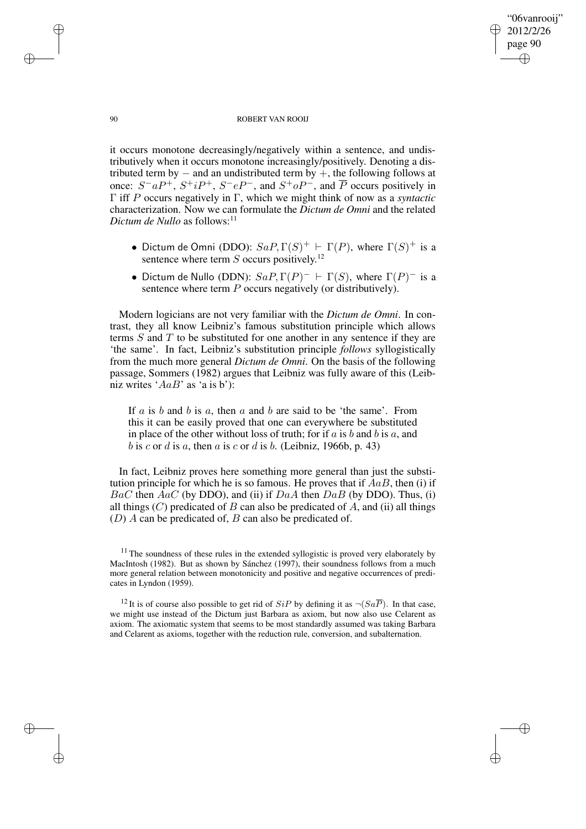# "06vanrooij" 2012/2/26 page 90 ✐ ✐

✐

✐

#### 90 ROBERT VAN ROOIJ

it occurs monotone decreasingly/negatively within a sentence, and undistributively when it occurs monotone increasingly/positively. Denoting a distributed term by  $-$  and an undistributed term by  $+$ , the following follows at once:  $S^-aP^+$ ,  $S^+iP^+$ ,  $S^-eP^-$ , and  $S^+oP^-$ , and  $\overline{P}$  occurs positively in Γ iff P occurs negatively in Γ, which we might think of now as a *syntactic* characterization. Now we can formulate the *Dictum de Omni* and the related *Dictum de Nullo* as follows: $11$ 

- Dictum de Omni (DDO):  $SaP, \Gamma(S)^+$   $\vdash \Gamma(P)$ , where  $\Gamma(S)^+$  is a sentence where term  $S$  occurs positively.<sup>12</sup>
- Dictum de Nullo (DDN):  $SaP, \Gamma(P)^- \vdash \Gamma(S)$ , where  $\Gamma(P)^-$  is a sentence where term P occurs negatively (or distributively).

Modern logicians are not very familiar with the *Dictum de Omni*. In contrast, they all know Leibniz's famous substitution principle which allows terms  $S$  and  $T$  to be substituted for one another in any sentence if they are 'the same'. In fact, Leibniz's substitution principle *follows* syllogistically from the much more general *Dictum de Omni*. On the basis of the following passage, Sommers (1982) argues that Leibniz was fully aware of this (Leibniz writes ' $AaB$ ' as 'a is b'):

If  $a$  is  $b$  and  $b$  is  $a$ , then  $a$  and  $b$  are said to be 'the same'. From this it can be easily proved that one can everywhere be substituted in place of the other without loss of truth; for if  $a$  is  $b$  and  $b$  is  $a$ , and b is c or d is a, then a is c or d is b. (Leibniz, 1966b, p. 43)

In fact, Leibniz proves here something more general than just the substitution principle for which he is so famous. He proves that if  $AaB$ , then (i) if  $BaC$  then  $AaC$  (by DDO), and (ii) if  $DaA$  then  $DaB$  (by DDO). Thus, (i) all things  $(C)$  predicated of B can also be predicated of A, and (ii) all things  $(D)$  A can be predicated of, B can also be predicated of.

✐

✐

✐

 $11$  The soundness of these rules in the extended syllogistic is proved very elaborately by MacIntosh (1982). But as shown by Sánchez (1997), their soundness follows from a much more general relation between monotonicity and positive and negative occurrences of predicates in Lyndon (1959).

<sup>&</sup>lt;sup>12</sup>It is of course also possible to get rid of  $SiP$  by defining it as  $\neg (Sa\overline{P})$ . In that case, we might use instead of the Dictum just Barbara as axiom, but now also use Celarent as axiom. The axiomatic system that seems to be most standardly assumed was taking Barbara and Celarent as axioms, together with the reduction rule, conversion, and subalternation.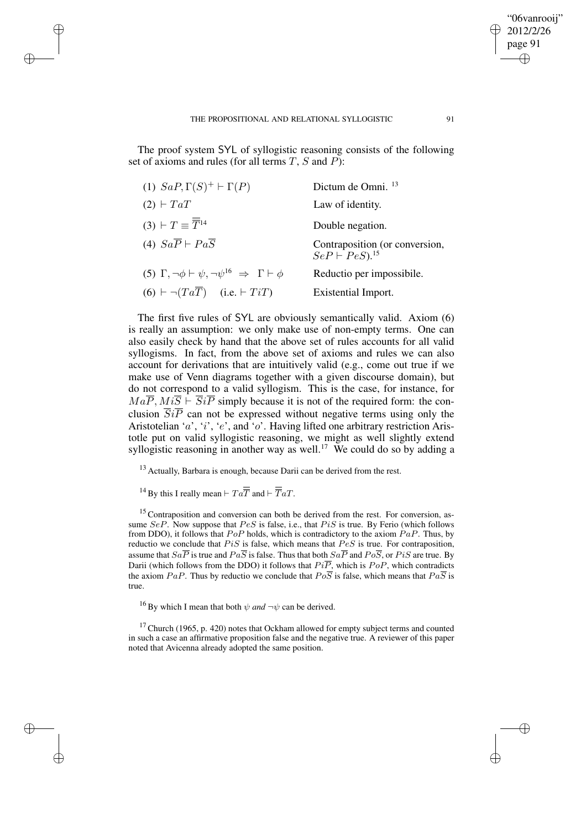The proof system SYL of syllogistic reasoning consists of the following set of axioms and rules (for all terms  $T$ ,  $S$  and  $P$ ):

| (1) $SaP, \Gamma(S)^+ \vdash \Gamma(P)$                                                  | Dictum de Omni. <sup>13</sup>                                      |
|------------------------------------------------------------------------------------------|--------------------------------------------------------------------|
| $(2)$ + $TaT$                                                                            | Law of identity.                                                   |
| $(3)$ + $T \equiv \overline{\overline{T}}^{14}$                                          | Double negation.                                                   |
| (4) $Sa\overline{P} \vdash Pa\overline{S}$                                               | Contraposition (or conversion,<br>$SeP\vdash PeS$ ). <sup>15</sup> |
| (5) $\Gamma$ , $\neg \phi \vdash \psi$ , $\neg \psi^{16} \Rightarrow \Gamma \vdash \phi$ | Reductio per impossibile.                                          |
| $(6) \vdash \neg (Ta\overline{T})$ (i.e. $\vdash TiT$ )                                  | Existential Import.                                                |

The first five rules of SYL are obviously semantically valid. Axiom (6) is really an assumption: we only make use of non-empty terms. One can also easily check by hand that the above set of rules accounts for all valid syllogisms. In fact, from the above set of axioms and rules we can also account for derivations that are intuitively valid (e.g., come out true if we make use of Venn diagrams together with a given discourse domain), but do not correspond to a valid syllogism. This is the case, for instance, for  $Ma\overline{P}$ ,  $Mi\overline{S} \vdash \overline{Si} \overline{P}$  simply because it is not of the required form: the conclusion  $\overline{SiP}$  can not be expressed without negative terms using only the Aristotelian 'a', 'i', 'e', and 'o'. Having lifted one arbitrary restriction Aristotle put on valid syllogistic reasoning, we might as well slightly extend syllogistic reasoning in another way as well.<sup>17</sup> We could do so by adding a

<sup>13</sup> Actually, Barbara is enough, because Darii can be derived from the rest.

<sup>14</sup> By this I really mean  $\vdash T a \overline{ \overline{T}}$  and  $\vdash \overline{ \overline{T}} aT$ .

✐

✐

✐

✐

 $15$  Contraposition and conversion can both be derived from the rest. For conversion, assume  $SeP$ . Now suppose that  $PeS$  is false, i.e., that  $PiS$  is true. By Ferio (which follows from DDO), it follows that  $PoP$  holds, which is contradictory to the axiom  $PaP$ . Thus, by reductio we conclude that  $PiS$  is false, which means that  $PeS$  is true. For contraposition, assume that  $Sa\overline{P}$  is true and  $Pa\overline{S}$  is false. Thus that both  $Sa\overline{P}$  and  $Po\overline{S}$ , or  $Pi\overline{S}$  are true. By Darii (which follows from the DDO) it follows that  $Pi\overline{P}$ , which is PoP, which contradicts the axiom PaP. Thus by reductio we conclude that  $Po\overline{S}$  is false, which means that  $Pa\overline{S}$  is true.

<sup>16</sup> By which I mean that both  $\psi$  *and*  $\neg \psi$  can be derived.

 $17$  Church (1965, p. 420) notes that Ockham allowed for empty subject terms and counted in such a case an affirmative proposition false and the negative true. A reviewer of this paper noted that Avicenna already adopted the same position.

"06vanrooij" 2012/2/26 page 91

✐

✐

✐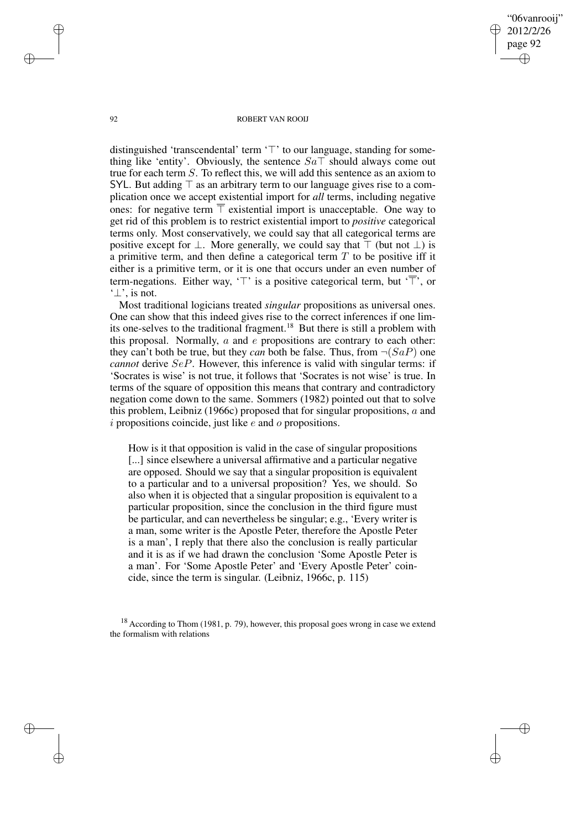"06vanrooij" 2012/2/26 page 92 ✐ ✐

✐

✐

#### 92 ROBERT VAN ROOIJ

distinguished 'transcendental' term  $\uparrow \uparrow$ ' to our language, standing for something like 'entity'. Obviously, the sentence  $Sa\bar{a}$  should always come out true for each term S. To reflect this, we will add this sentence as an axiom to SYL. But adding  $\top$  as an arbitrary term to our language gives rise to a complication once we accept existential import for *all* terms, including negative ones: for negative term  $\bar{T}$  existential import is unacceptable. One way to get rid of this problem is to restrict existential import to *positive* categorical terms only. Most conservatively, we could say that all categorical terms are positive except for  $\perp$ . More generally, we could say that  $\top$  (but not  $\perp$ ) is a primitive term, and then define a categorical term  $T$  to be positive iff it either is a primitive term, or it is one that occurs under an even number of term-negations. Either way,  $\tau$  is a positive categorical term, but  $\tau$ , or '⊥', is not.

Most traditional logicians treated *singular* propositions as universal ones. One can show that this indeed gives rise to the correct inferences if one limits one-selves to the traditional fragment.<sup>18</sup> But there is still a problem with this proposal. Normally,  $a$  and  $e$  propositions are contrary to each other: they can't both be true, but they *can* both be false. Thus, from  $\neg$  (SaP) one *cannot* derive *SeP*. However, this inference is valid with singular terms: if 'Socrates is wise' is not true, it follows that 'Socrates is not wise' is true. In terms of the square of opposition this means that contrary and contradictory negation come down to the same. Sommers (1982) pointed out that to solve this problem, Leibniz (1966c) proposed that for singular propositions, a and  $i$  propositions coincide, just like  $e$  and  $o$  propositions.

How is it that opposition is valid in the case of singular propositions [...] since elsewhere a universal affirmative and a particular negative are opposed. Should we say that a singular proposition is equivalent to a particular and to a universal proposition? Yes, we should. So also when it is objected that a singular proposition is equivalent to a particular proposition, since the conclusion in the third figure must be particular, and can nevertheless be singular; e.g., 'Every writer is a man, some writer is the Apostle Peter, therefore the Apostle Peter is a man', I reply that there also the conclusion is really particular and it is as if we had drawn the conclusion 'Some Apostle Peter is a man'. For 'Some Apostle Peter' and 'Every Apostle Peter' coincide, since the term is singular. (Leibniz, 1966c, p. 115)

<sup>18</sup> According to Thom (1981, p. 79), however, this proposal goes wrong in case we extend the formalism with relations

✐

✐

✐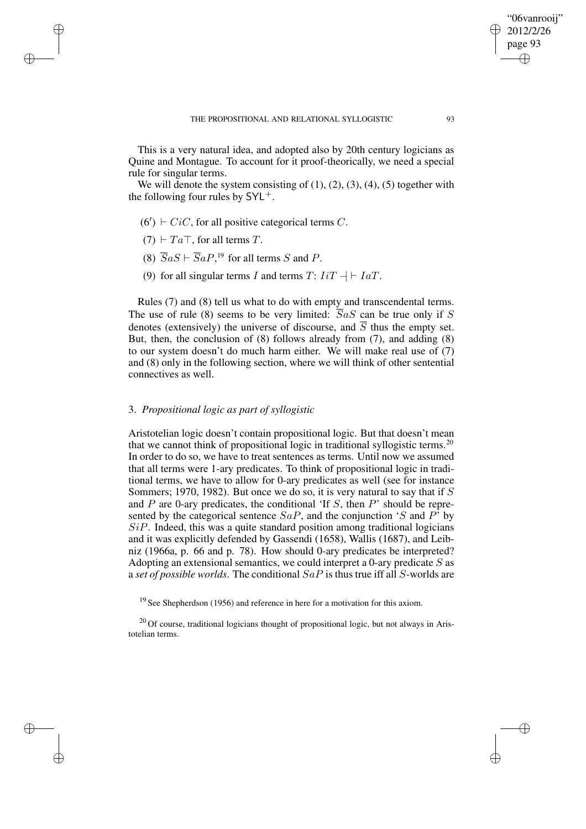This is a very natural idea, and adopted also by 20th century logicians as Quine and Montague. To account for it proof-theorically, we need a special rule for singular terms.

We will denote the system consisting of  $(1)$ ,  $(2)$ ,  $(3)$ ,  $(4)$ ,  $(5)$  together with the following four rules by  $SYL^+$ .

- $(6') \vdash CiC$ , for all positive categorical terms C.
- $(7) \vdash Ta \top$ , for all terms T.

✐

✐

✐

✐

- (8)  $\overline{S}aS \vdash \overline{S}aP$ ,<sup>19</sup> for all terms S and P.
- (9) for all singular terms I and terms T:  $IiT + \mid IaT$ .

Rules (7) and (8) tell us what to do with empty and transcendental terms. The use of rule (8) seems to be very limited:  $\overline{S}aS$  can be true only if S denotes (extensively) the universe of discourse, and  $\overline{S}$  thus the empty set. But, then, the conclusion of (8) follows already from (7), and adding (8) to our system doesn't do much harm either. We will make real use of (7) and (8) only in the following section, where we will think of other sentential connectives as well.

# 3. *Propositional logic as part of syllogistic*

Aristotelian logic doesn't contain propositional logic. But that doesn't mean that we cannot think of propositional logic in traditional syllogistic terms.<sup>20</sup> In order to do so, we have to treat sentences as terms. Until now we assumed that all terms were 1-ary predicates. To think of propositional logic in traditional terms, we have to allow for 0-ary predicates as well (see for instance Sommers; 1970, 1982). But once we do so, it is very natural to say that if  $S$ and  $P$  are 0-ary predicates, the conditional 'If  $S$ , then  $P$ ' should be represented by the categorical sentence  $SaP$ , and the conjunction 'S and  $P^{\dagger}$  by  $SiP$ . Indeed, this was a quite standard position among traditional logicians and it was explicitly defended by Gassendi (1658), Wallis (1687), and Leibniz (1966a, p. 66 and p. 78). How should 0-ary predicates be interpreted? Adopting an extensional semantics, we could interpret a 0-ary predicate  $S$  as a *set of possible worlds*. The conditional SaP is thus true iff all S-worlds are

<sup>19</sup> See Shepherdson (1956) and reference in here for a motivation for this axiom.

<sup>20</sup> Of course, traditional logicians thought of propositional logic, but not always in Aristotelian terms.

"06vanrooij" 2012/2/26 page 93

✐

✐

✐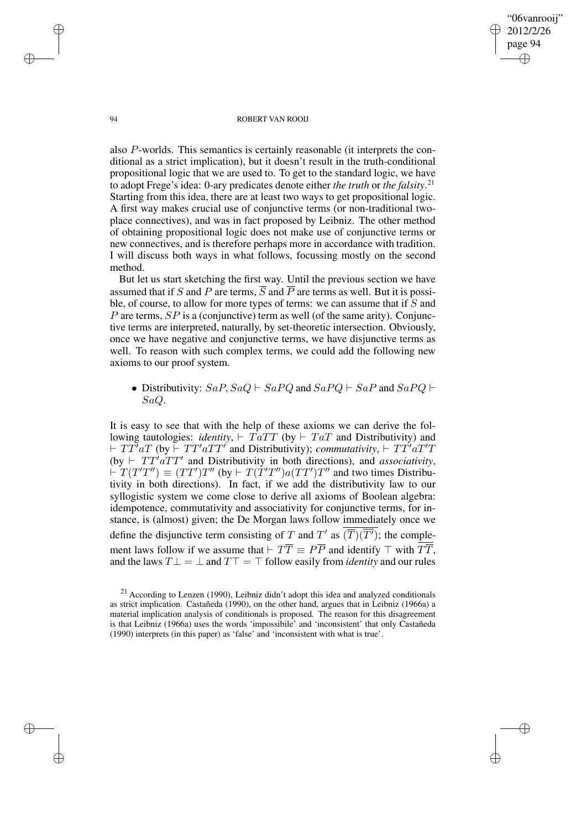94 ROBERT VAN ROOIJ

"06vanrooij" 2012/2/26 page 94

✐

✐

✐

✐

also P-worlds. This semantics is certainly reasonable (it interprets the conditional as a strict implication), but it doesn't result in the truth-conditional propositional logic that we are used to. To get to the standard logic, we have to adopt Frege's idea: 0-ary predicates denote either *the truth* or *the falsity*. 21 Starting from this idea, there are at least two ways to get propositional logic. A first way makes crucial use of conjunctive terms (or non-traditional twoplace connectives), and was in fact proposed by Leibniz. The other method of obtaining propositional logic does not make use of conjunctive terms or new connectives, and is therefore perhaps more in accordance with tradition. I will discuss both ways in what follows, focussing mostly on the second method.

But let us start sketching the first way. Until the previous section we have assumed that if S and P are terms,  $\overline{S}$  and  $\overline{P}$  are terms as well. But it is possible, of course, to allow for more types of terms: we can assume that if  $S$  and P are terms,  $SP$  is a (conjunctive) term as well (of the same arity). Conjunctive terms are interpreted, naturally, by set-theoretic intersection. Obviously, once we have negative and conjunctive terms, we have disjunctive terms as well. To reason with such complex terms, we could add the following new axioms to our proof system.

• Distributivity:  $SaP, SaQ \vdash SaPQ$  and  $SaPQ \vdash SaP$  and  $SaPQ \vdash$ SaQ.

It is easy to see that with the help of these axioms we can derive the following tautologies: *identity*,  $\overline{r}$   $\overline{T}$   $\overline{T}$  (by  $\vdash$   $T$   $\overline{T}$  and Distributivity) and  $\vdash TT^{\gamma}aT$  (by  $\vdash TT^{\gamma}aTT^{\gamma}$  and Distributivity); *commutativity*,  $\vdash TT^{\gamma}aT'T$ (by  $\vdash TT'\vec{a}TT'$  and Distributivity in both directions), and *associativity*,  $\overline{T}(T'T'') \equiv (TT')T''$  (by  $\vdash T(T'T'')a(TT')T''$  and two times Distributivity in both directions). In fact, if we add the distributivity law to our syllogistic system we come close to derive all axioms of Boolean algebra: idempotence, commutativity and associativity for conjunctive terms, for instance, is (almost) given; the De Morgan laws follow immediately once we define the disjunctive term consisting of T and T' as  $\overline{(\overline{T})(\overline{T'})}$ ; the complement laws follow if we assume that  $\vdash T\overline{T} \equiv P\overline{P}$  and identify  $\top$  with  $\overline{T}\overline{T}$ , and the laws  $T \perp = \perp$  and  $T\top = \top$  follow easily from *identity* and our rules

✐

✐

✐

 $21$  According to Lenzen (1990), Leibniz didn't adopt this idea and analyzed conditionals as strict implication. Castañeda (1990), on the other hand, argues that in Leibniz (1966a) a material implication analysis of conditionals is proposed. The reason for this disagreement is that Leibniz (1966a) uses the words 'impossibile' and 'inconsistent' that only Castañeda (1990) interprets (in this paper) as 'false' and 'inconsistent with what is true'.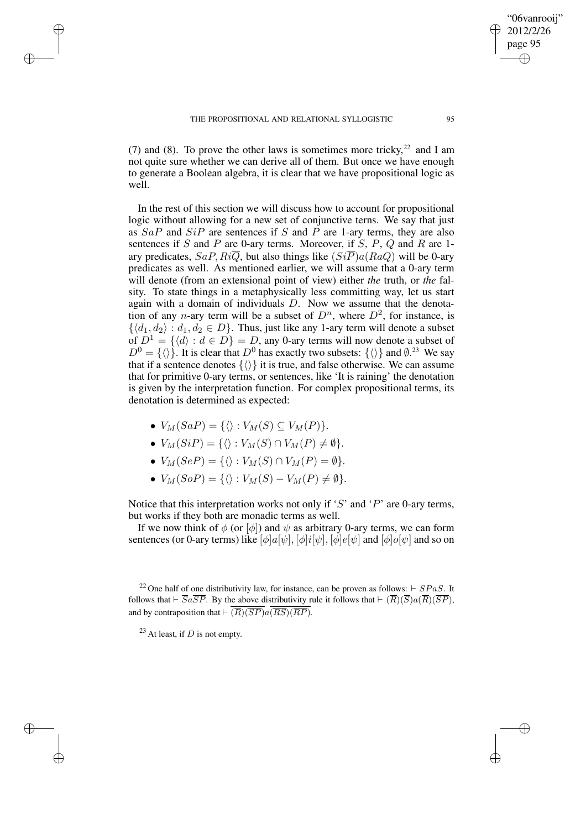✐

✐

✐

(7) and (8). To prove the other laws is sometimes more tricky,  $2^2$  and I am not quite sure whether we can derive all of them. But once we have enough to generate a Boolean algebra, it is clear that we have propositional logic as well.

In the rest of this section we will discuss how to account for propositional logic without allowing for a new set of conjunctive terns. We say that just as  $SaP$  and  $SiP$  are sentences if S and P are 1-ary terms, they are also sentences if  $S$  and  $P$  are 0-ary terms. Moreover, if  $S$ ,  $P$ ,  $Q$  and  $R$  are 1ary predicates,  $SaP, Ri\overline{Q}$ , but also things like  $(Si\overline{P})a(RaQ)$  will be 0-ary predicates as well. As mentioned earlier, we will assume that a 0-ary term will denote (from an extensional point of view) either *the* truth, or *the* falsity. To state things in a metaphysically less committing way, let us start again with a domain of individuals  $D$ . Now we assume that the denotation of any *n*-ary term will be a subset of  $D^n$ , where  $D^2$ , for instance, is  $\{\langle d_1, d_2 \rangle : d_1, d_2 \in D\}$ . Thus, just like any 1-ary term will denote a subset of  $D^1 = \{ \langle d \rangle : d \in D \} = D$ , any 0-ary terms will now denote a subset of  $D^0 = {\langle} \langle \rangle$ . It is clear that  $D^0$  has exactly two subsets:  ${\langle} \langle \rangle$  and  $\emptyset$ .<sup>23</sup> We say that if a sentence denotes  $\{\langle\rangle\}$  it is true, and false otherwise. We can assume that for primitive 0-ary terms, or sentences, like 'It is raining' the denotation is given by the interpretation function. For complex propositional terms, its denotation is determined as expected:

- $V_M(SaP) = \{\langle \rangle : V_M(S) \subseteq V_M(P)\}.$
- $V_M(SiP) = \{\langle \rangle : V_M(S) \cap V_M(P) \neq \emptyset \}.$
- $V_M(SeP) = \{\langle \rangle : V_M(S) \cap V_M(P) = \emptyset\}.$
- $V_M(SoP) = \{\langle \rangle : V_M(S) V_M(P) \neq \emptyset \}.$

Notice that this interpretation works not only if 'S' and 'P' are 0-ary terms, but works if they both are monadic terms as well.

If we now think of  $\phi$  (or  $[\phi]$ ) and  $\psi$  as arbitrary 0-ary terms, we can form sentences (or 0-ary terms) like  $[\phi]a[\psi], [\phi]i[\psi], [\phi]e[\psi]$  and  $[\phi]o[\psi]$  and so on

<sup>23</sup> At least, if *D* is not empty.

"06vanrooij" 2012/2/26 page 95

✐

✐

✐

<sup>&</sup>lt;sup>22</sup> One half of one distributivity law, for instance, can be proven as follows:  $\vdash SPaS$ . It follows that  $\vdash \overline{S}a\overline{S}P$ . By the above distributivity rule it follows that  $\vdash (\overline{R})(\overline{S})a(\overline{R})(\overline{S}P)$ . and by contraposition that  $\overline{R}(\overline{RP})a(\overline{RS})(\overline{RP})$ .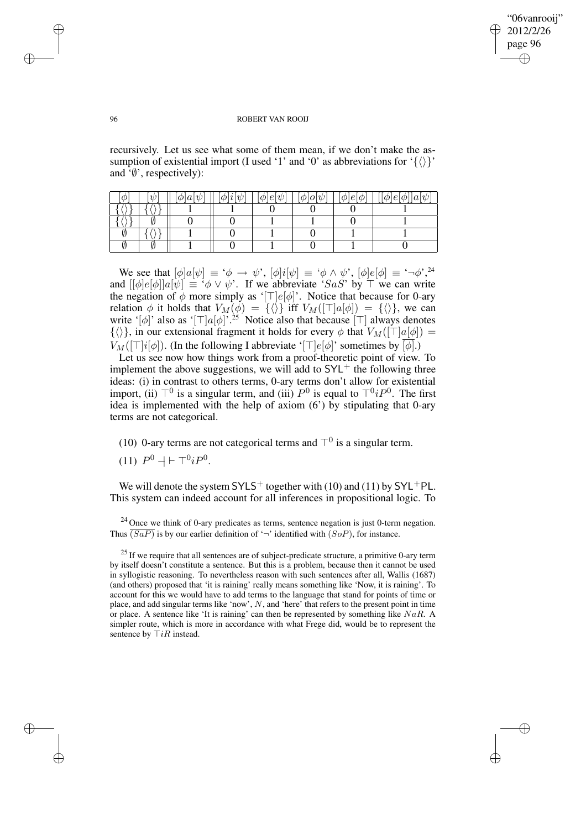✐

#### 96 ROBERT VAN ROOIJ

recursively. Let us see what some of them mean, if we don't make the assumption of existential import (I used '1' and '0' as abbreviations for '{ $\langle \rangle$ }' and  $\overline{\psi}$ , respectively):

|   | $\phi a $<br>'U | $\phi$  l  $\psi$ | e <br>$\psi$<br>ΦI | $\psi$<br>$\phi$  0 | $e_1$<br>$\varphi$<br>$\varphi$ | $ \phi e \phi $<br>$  a \psi$ |
|---|-----------------|-------------------|--------------------|---------------------|---------------------------------|-------------------------------|
|   |                 |                   |                    |                     |                                 |                               |
|   |                 |                   |                    |                     |                                 |                               |
| ີ |                 |                   |                    |                     |                                 |                               |
|   |                 |                   |                    |                     |                                 |                               |

We see that  $[\phi]a[\psi] \equiv ' \phi \rightarrow \psi'$ ,  $[\phi]i[\psi] \equiv ' \phi \wedge \psi'$ ,  $[\phi]e[\phi] \equiv ' \neg \phi'$ ,  $^{24}$ and  $[ [\![\phi]\!]e[\![\phi]\!]a[\![\psi]\!] \equiv {}^{\phi}\circ \psi \circ \psi'$ . If we abbreviate 'SaS' by  $\top$  we can write the negation of  $\phi$  more simply as '[ $\Box$ e[ $\phi$ ]'. Notice that because for 0-ary relation  $\phi$  it holds that  $V_M(\phi) = {\{\langle \rangle\}}$  iff  $V_M([\top]a[\phi]) = {\{\langle \rangle\}}$ , we can write '[ $\phi$ ]' also as '[ $\Box |a[\phi]$ '.<sup>25</sup> Notice also that because [ $\Box$ ] always denotes  $\{\langle \rangle\}$ , in our extensional fragment it holds for every  $\phi$  that  $V_M([\top]a[\phi]) =$  $V_M([\top]i[\phi])$ . (In the following I abbreviate ' $[\top]e[\phi]$ ' sometimes by  $[\phi]$ .)

Let us see now how things work from a proof-theoretic point of view. To implement the above suggestions, we will add to  $SYL^+$  the following three ideas: (i) in contrast to others terms, 0-ary terms don't allow for existential import, (ii)  $\top^0$  is a singular term, and (iii)  $P^0$  is equal to  $\top^0 i P^0$ . The first idea is implemented with the help of axiom (6') by stipulating that 0-ary terms are not categorical.

- (10) 0-ary terms are not categorical terms and  $\top^0$  is a singular term.
- (11)  $P^0 + \top^0 i P^0$ .

We will denote the system  $SYLS^+$  together with (10) and (11) by  $SYL^+PL$ . This system can indeed account for all inferences in propositional logic. To

 $24$  Once we think of 0-ary predicates as terms, sentence negation is just 0-term negation. Thus  $\overline{(SaP)}$  is by our earlier definition of '¬' identified with  $(SoP)$ , for instance.

✐

✐

✐

 $25$  If we require that all sentences are of subject-predicate structure, a primitive 0-ary term by itself doesn't constitute a sentence. But this is a problem, because then it cannot be used in syllogistic reasoning. To nevertheless reason with such sentences after all, Wallis (1687) (and others) proposed that 'it is raining' really means something like 'Now, it is raining'. To account for this we would have to add terms to the language that stand for points of time or place, and add singular terms like 'now',  $N$ , and 'here' that refers to the present point in time or place. A sentence like 'It is raining' can then be represented by something like  $NaR$ . A simpler route, which is more in accordance with what Frege did, would be to represent the sentence by  $\top iR$  instead.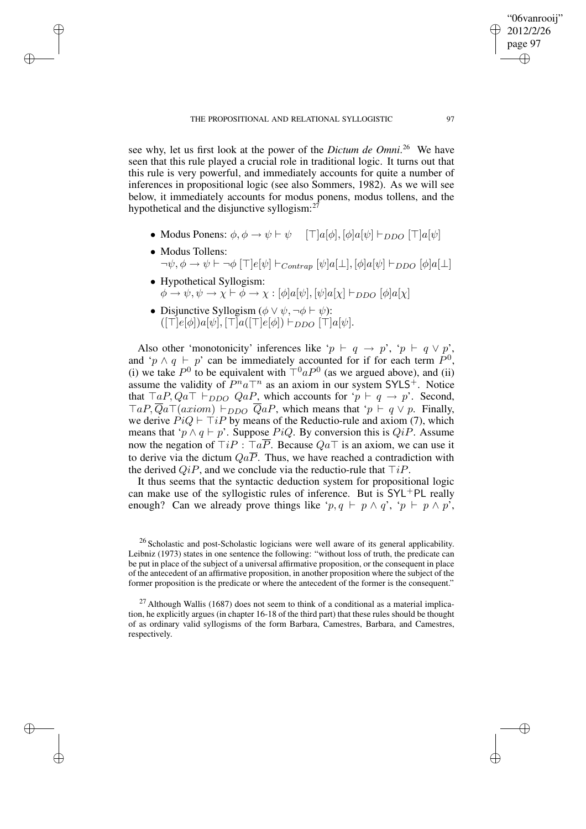see why, let us first look at the power of the *Dictum de Omni*. <sup>26</sup> We have seen that this rule played a crucial role in traditional logic. It turns out that this rule is very powerful, and immediately accounts for quite a number of inferences in propositional logic (see also Sommers, 1982). As we will see below, it immediately accounts for modus ponens, modus tollens, and the hypothetical and the disjunctive syllogism: $^{27}$ 

- Modus Ponens:  $\phi, \phi \rightarrow \psi \vdash \psi$  [ $\Box |a[\phi], [\phi]a[\psi] \vdash_{DDO} [\top]a[\psi]$
- Modus Tollens:  $\neg \psi, \phi \rightarrow \psi \vdash \neg \phi \left[\top \left[e[\psi] \vdash_{Contran} [\psi]a[\bot], [\phi]a[\psi] \vdash_{DDO} [\phi]a[\bot]\right]\right]$
- Hypothetical Syllogism:  $\phi \rightarrow \psi, \psi \rightarrow \chi \vdash \phi \rightarrow \chi : [\phi]a[\psi], [\psi]a[\chi] \vdash_{DDO} [\phi]a[\chi]$
- Disjunctive Syllogism ( $\phi \lor \psi$ ,  $\neg \phi \vdash \psi$ ):  $(\lceil \top |e[\phi] \rceil |a[\psi], \lceil \top |a(\lceil \top |e[\phi] \rceil) \vdash_{DDO} \lceil \top |a[\psi].$

✐

✐

✐

✐

Also other 'monotonicity' inferences like ' $p \vdash q \rightarrow p'$ , ' $p \vdash q \lor p'$ , and 'p  $\wedge$  q  $\vdash$  p' can be immediately accounted for if for each term  $\hat{P}^0$ , (i) we take  $P^0$  to be equivalent with  $T^0 a P^0$  (as we argued above), and (ii) assume the validity of  $P^n a \top^n$  as an axiom in our system SYLS<sup>+</sup>. Notice that  $\top a P, Q a \top \vdash_{DDO} Q a P$ , which accounts for ' $p \vdash q \rightarrow p$ '. Second,  $TaP, Qa\top(axiom) \vdash_{DDO} QaP$ , which means that ' $p \vdash q \lor p$ . Finally, we derive  $PiQ \vdash \top iP$  by means of the Reductio-rule and axiom (7), which means that ' $p \wedge q \vdash p$ '. Suppose PiQ. By conversion this is QiP. Assume now the negation of  $\exists i P : \exists a \overline{P}$ . Because  $Qa\overline{\bot}$  is an axiom, we can use it to derive via the dictum  $Qa\overline{P}$ . Thus, we have reached a contradiction with the derived  $QiP$ , and we conclude via the reductio-rule that  $\exists iP$ .

It thus seems that the syntactic deduction system for propositional logic can make use of the syllogistic rules of inference. But is  $SYL+PL$  really enough? Can we already prove things like ' $p, q \vdash p \land q$ ', ' $p \vdash p \land p'$ ',

 $27$  Although Wallis (1687) does not seem to think of a conditional as a material implication, he explicitly argues (in chapter 16-18 of the third part) that these rules should be thought of as ordinary valid syllogisms of the form Barbara, Camestres, Barbara, and Camestres, respectively.

"06vanrooij" 2012/2/26 page 97

✐

✐

✐

<sup>26</sup> Scholastic and post-Scholastic logicians were well aware of its general applicability. Leibniz (1973) states in one sentence the following: "without loss of truth, the predicate can be put in place of the subject of a universal affirmative proposition, or the consequent in place of the antecedent of an affirmative proposition, in another proposition where the subject of the former proposition is the predicate or where the antecedent of the former is the consequent."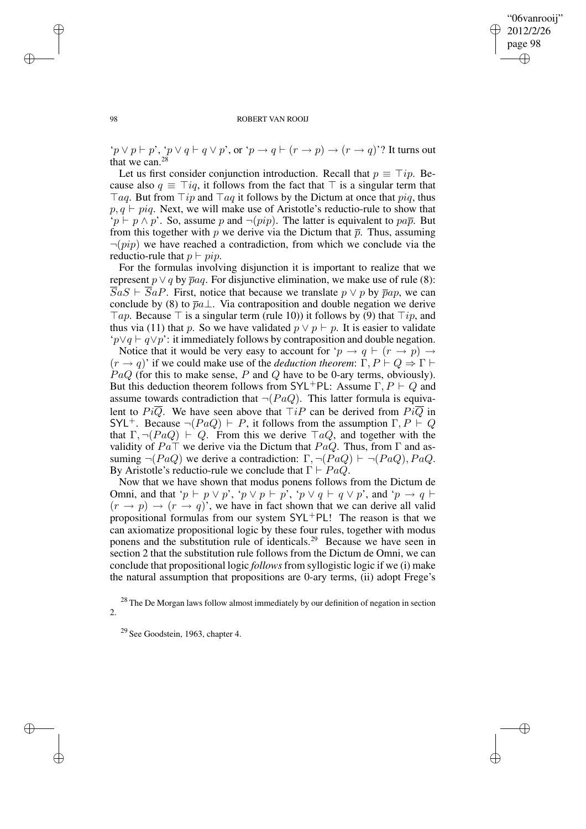✐

#### 98 ROBERT VAN ROOIJ

'p  $\vee$  p  $\vdash$  p', 'p  $\vee$  q  $\vdash$  q  $\vee$  p', or 'p  $\rightarrow$  q  $\vdash$   $(r \rightarrow p) \rightarrow (r \rightarrow q)$ '? It turns out that we can.<sup>28</sup>

Let us first consider conjunction introduction. Recall that  $p \equiv \top ip$ . Because also  $q \equiv \text{T}iq$ , it follows from the fact that  $\text{T}$  is a singular term that  $\forall aq$ . But from  $\forall ip$  and  $\forall aq$  it follows by the Dictum at once that  $piq$ , thus  $p, q \vdash p_i q$ . Next, we will make use of Aristotle's reductio-rule to show that  $\mathfrak{p} \vdash p \land p'$ . So, assume p and  $\neg (pip)$ . The latter is equivalent to pap. But from this together with p we derive via the Dictum that  $\bar{p}$ . Thus, assuming  $\neg (pip)$  we have reached a contradiction, from which we conclude via the reductio-rule that  $p \vdash pip$ .

For the formulas involving disjunction it is important to realize that we represent  $p \lor q$  by  $\overline{p}aq$ . For disjunctive elimination, we make use of rule (8):  $\overline{S}aS \vdash \overline{S}aP$ . First, notice that because we translate  $p \lor p$  by  $\overline{p}ap$ , we can conclude by (8) to  $\overline{p}a\perp$ . Via contraposition and double negation we derive  $\top ap$ . Because  $\top$  is a singular term (rule 10)) it follows by (9) that  $\top ip$ , and thus via (11) that p. So we have validated  $p \vee p \vdash p$ . It is easier to validate ' $p ∨ q ⊢ q ∨ p$ ': it immediately follows by contraposition and double negation.

Notice that it would be very easy to account for ' $p \rightarrow q \vdash (r \rightarrow p) \rightarrow$  $(r \to q)$ ' if we could make use of the *deduction theorem*:  $\overline{\Gamma}$ ,  $P \vdash Q \Rightarrow \Gamma \vdash$  $PaQ$  (for this to make sense, P and Q have to be 0-ary terms, obviously). But this deduction theorem follows from SYL<sup>+</sup>PL: Assume  $\Gamma, P \vdash Q$  and assume towards contradiction that  $\neg (PaQ)$ . This latter formula is equivalent to  $Pi\overline{Q}$ . We have seen above that  $T_iP$  can be derived from  $Pi\overline{Q}$  in SYL<sup>+</sup>. Because  $\neg (PaQ) \vdash P$ , it follows from the assumption  $\Gamma, P \vdash Q$ that  $\Gamma$ ,  $\neg (PaQ) \vdash Q$ . From this we derive  $TaQ$ , and together with the validity of  $Pa\bar{T}$  we derive via the Dictum that  $PaQ$ . Thus, from  $\Gamma$  and assuming  $\neg (PaQ)$  we derive a contradiction:  $\Gamma$ ,  $\neg (PaQ) \vdash \neg (PaQ)$ ,  $PaQ$ . By Aristotle's reductio-rule we conclude that  $\Gamma \vdash PaQ$ .

Now that we have shown that modus ponens follows from the Dictum de Omni, and that ' $p \vdash p \lor p'$ , ' $p \lor p \vdash p'$ , ' $p \lor q \vdash q \lor p'$ , and ' $p \rightarrow q \vdash p'$  $(r \rightarrow p) \rightarrow (r \rightarrow q)$ , we have in fact shown that we can derive all valid propositional formulas from our system SYL+PL! The reason is that we can axiomatize propositional logic by these four rules, together with modus ponens and the substitution rule of identicals.<sup>29</sup> Because we have seen in section 2 that the substitution rule follows from the Dictum de Omni, we can conclude that propositional logic *follows* from syllogistic logic if we (i) make the natural assumption that propositions are 0-ary terms, (ii) adopt Frege's

✐

✐

✐

 $28$  The De Morgan laws follow almost immediately by our definition of negation in section 2.

<sup>29</sup> See Goodstein, 1963, chapter 4.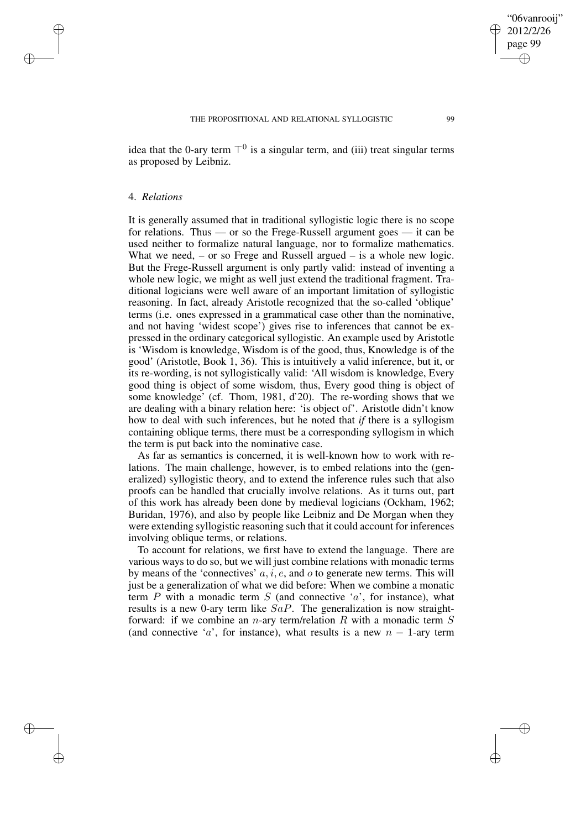idea that the 0-ary term  $\top^0$  is a singular term, and (iii) treat singular terms as proposed by Leibniz.

## 4. *Relations*

✐

✐

✐

✐

It is generally assumed that in traditional syllogistic logic there is no scope for relations. Thus — or so the Frege-Russell argument goes — it can be used neither to formalize natural language, nor to formalize mathematics. What we need,  $-$  or so Frege and Russell argued  $-$  is a whole new logic. But the Frege-Russell argument is only partly valid: instead of inventing a whole new logic, we might as well just extend the traditional fragment. Traditional logicians were well aware of an important limitation of syllogistic reasoning. In fact, already Aristotle recognized that the so-called 'oblique' terms (i.e. ones expressed in a grammatical case other than the nominative, and not having 'widest scope') gives rise to inferences that cannot be expressed in the ordinary categorical syllogistic. An example used by Aristotle is 'Wisdom is knowledge, Wisdom is of the good, thus, Knowledge is of the good' (Aristotle, Book 1, 36). This is intuitively a valid inference, but it, or its re-wording, is not syllogistically valid: 'All wisdom is knowledge, Every good thing is object of some wisdom, thus, Every good thing is object of some knowledge' (cf. Thom, 1981, d'20). The re-wording shows that we are dealing with a binary relation here: 'is object of'. Aristotle didn't know how to deal with such inferences, but he noted that *if* there is a syllogism containing oblique terms, there must be a corresponding syllogism in which the term is put back into the nominative case.

As far as semantics is concerned, it is well-known how to work with relations. The main challenge, however, is to embed relations into the (generalized) syllogistic theory, and to extend the inference rules such that also proofs can be handled that crucially involve relations. As it turns out, part of this work has already been done by medieval logicians (Ockham, 1962; Buridan, 1976), and also by people like Leibniz and De Morgan when they were extending syllogistic reasoning such that it could account for inferences involving oblique terms, or relations.

To account for relations, we first have to extend the language. There are various ways to do so, but we will just combine relations with monadic terms by means of the 'connectives'  $a, i, e$ , and  $o$  to generate new terms. This will just be a generalization of what we did before: When we combine a monatic term  $P$  with a monadic term  $S$  (and connective ' $a$ ', for instance), what results is a new 0-ary term like  $SaP$ . The generalization is now straightforward: if we combine an *n*-ary term/relation R with a monadic term  $S$ (and connective 'a', for instance), what results is a new  $n - 1$ -ary term

"06vanrooij" 2012/2/26 page 99

✐

✐

✐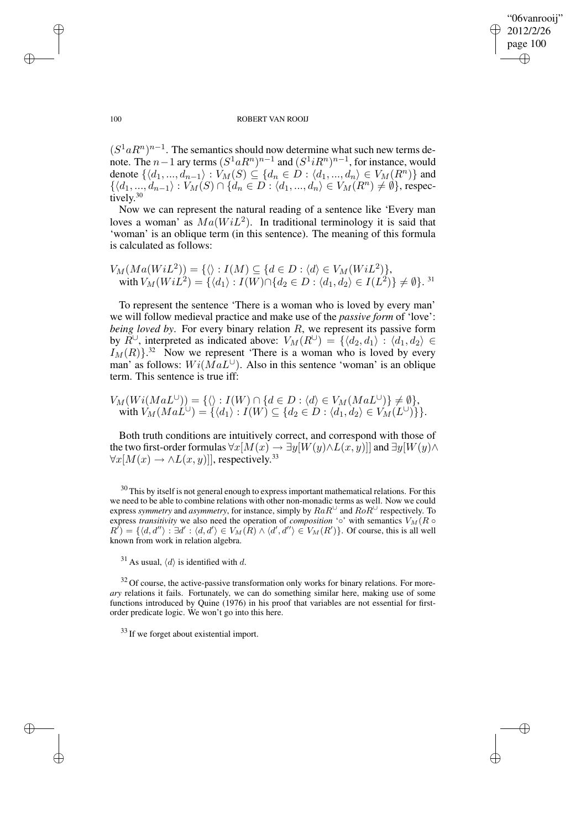✐

#### 100 ROBERT VAN ROOIJ

 $(S^1aR^n)^{n-1}$ . The semantics should now determine what such new terms denote. The  $n-1$  ary terms  $(S^1aR^n)^{n-1}$  and  $(S^1iR^n)^{n-1}$ , for instance, would denote  $\{ \langle d_1, ..., d_{n-1} \rangle : V_M(S) \subseteq \{ d_n \in D : \langle d_1, ..., d_n \rangle \in V_M(R^n) \}$  and  $\{\langle d_1, ..., d_{n-1} \rangle : V_M(S) \cap \{\dot{d}_n \in D : \langle d_1, ..., d_n \rangle \in V_M(R^n) \neq \emptyset\},$  respectively. 30

Now we can represent the natural reading of a sentence like 'Every man loves a woman' as  $Ma(WiL^2)$ . In traditional terminology it is said that 'woman' is an oblique term (in this sentence). The meaning of this formula is calculated as follows:

$$
V_M(Ma(WiL^2)) = \{ \langle \rangle : I(M) \subseteq \{ d \in D : \langle d \rangle \in V_M(WiL^2) \},
$$
  
with 
$$
V_M(WiL^2) = \{ \langle d_1 \rangle : I(W) \cap \{ d_2 \in D : \langle d_1, d_2 \rangle \in I(L^2) \} \neq \emptyset \}.
$$
<sup>31</sup>

To represent the sentence 'There is a woman who is loved by every man' we will follow medieval practice and make use of the *passive form* of 'love': *being loved by*. For every binary relation R, we represent its passive form by  $R^{\cup}$ , interpreted as indicated above:  $V_M(R^{\cup}) = \{ \langle d_2, d_1 \rangle : \langle d_1, d_2 \rangle \in$  $I_M(R)$ <sup>32</sup> Now we represent 'There is a woman who is loved by every man' as follows:  $Wi(MaL<sup>U</sup>)$ . Also in this sentence 'woman' is an oblique term. This sentence is true iff:

$$
V_M(Wi(MaL^{\cup})) = \{ \langle \rangle : I(W) \cap \{d \in D : \langle d \rangle \in V_M(MaL^{\cup})\} \neq \emptyset \},\
$$
  
with  $V_M(MaL^{\cup}) = \{ \langle d_1 \rangle : I(W) \subseteq \{d_2 \in D : \langle d_1, d_2 \rangle \in V_M(L^{\cup})\} \}.$ 

Both truth conditions are intuitively correct, and correspond with those of the two first-order formulas  $\forall x [M(x) \rightarrow \exists y [W(y) \wedge L(x,y)]]$  and  $\exists y [W(y) \wedge L(x,y)]]$  $\forall x [M(x) \rightarrow \land L(x, y)]$ , respectively.<sup>33</sup>

 $30$  This by itself is not general enough to express important mathematical relations. For this we need to be able to combine relations with other non-monadic terms as well. Now we could express *symmetry* and *asymmetry*, for instance, simply by  $RaR^{\cup}$  and  $RoR^{\cup}$  respectively. To express *transitivity* we also need the operation of *composition* '◦' with semantics  $V_M(R \circ$  $R'$ ) = { $\langle d, d'' \rangle : \exists d' : \langle d, d' \rangle \in V_M(R) \wedge \langle d', d'' \rangle \in V_M(R')$ }. Of course, this is all well known from work in relation algebra.

 $32$  Of course, the active-passive transformation only works for binary relations. For more*ary* relations it fails. Fortunately, we can do something similar here, making use of some functions introduced by Quine (1976) in his proof that variables are not essential for firstorder predicate logic. We won't go into this here.

<sup>33</sup> If we forget about existential import.

✐

✐

✐

<sup>&</sup>lt;sup>31</sup> As usual,  $\langle d \rangle$  is identified with d.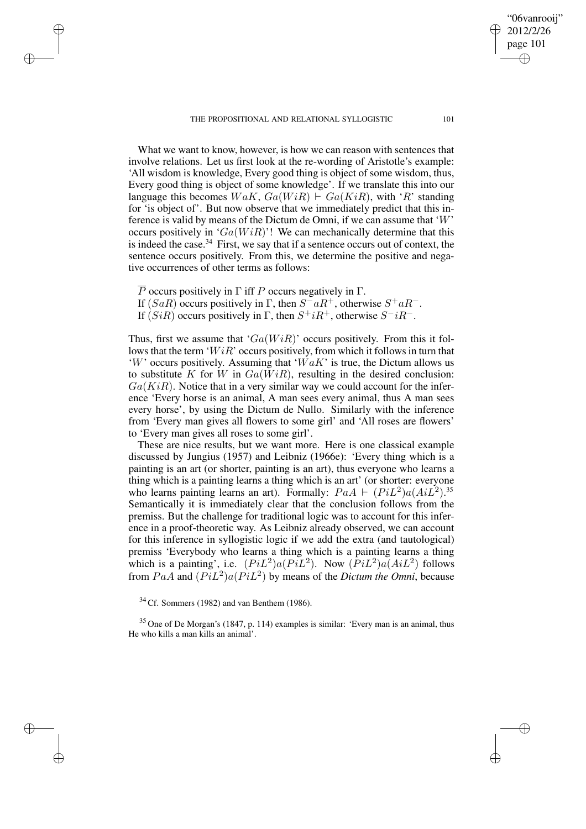THE PROPOSITIONAL AND RELATIONAL SYLLOGISTIC 101

What we want to know, however, is how we can reason with sentences that involve relations. Let us first look at the re-wording of Aristotle's example: 'All wisdom is knowledge, Every good thing is object of some wisdom, thus, Every good thing is object of some knowledge'. If we translate this into our language this becomes  $WaK$ ,  $Ga(WiR) \vdash Ga(KiR)$ , with 'R' standing for 'is object of'. But now observe that we immediately predict that this inference is valid by means of the Dictum de Omni, if we can assume that 'W'

occurs positively in ' $Ga(WiR)$ '! We can mechanically determine that this is indeed the case. $34$  First, we say that if a sentence occurs out of context, the sentence occurs positively. From this, we determine the positive and negative occurrences of other terms as follows:

 $\overline{P}$  occurs positively in  $\Gamma$  iff P occurs negatively in  $\Gamma$ .

✐

✐

✐

✐

- If  $(SaR)$  occurs positively in Γ, then  $S aR^+$ , otherwise  $S^+ aR^-$ .
- If  $(SiR)$  occurs positively in  $\Gamma$ , then  $S^+iR^+$ , otherwise  $S^-iR^-$ .

Thus, first we assume that ' $Ga(WiR)$ ' occurs positively. From this it follows that the term ' $WiR$ ' occurs positively, from which it follows in turn that 'W' occurs positively. Assuming that ' $WaK'$ ' is true, the Dictum allows us to substitute K for W in  $Ga(WiR)$ , resulting in the desired conclusion:  $Ga(KiR)$ . Notice that in a very similar way we could account for the inference 'Every horse is an animal, A man sees every animal, thus A man sees every horse', by using the Dictum de Nullo. Similarly with the inference from 'Every man gives all flowers to some girl' and 'All roses are flowers' to 'Every man gives all roses to some girl'.

These are nice results, but we want more. Here is one classical example discussed by Jungius (1957) and Leibniz (1966e): 'Every thing which is a painting is an art (or shorter, painting is an art), thus everyone who learns a thing which is a painting learns a thing which is an art' (or shorter: everyone who learns painting learns an art). Formally:  $PaA + (PiL^2)a(AiL^2).$ <sup>35</sup> Semantically it is immediately clear that the conclusion follows from the premiss. But the challenge for traditional logic was to account for this inference in a proof-theoretic way. As Leibniz already observed, we can account for this inference in syllogistic logic if we add the extra (and tautological) premiss 'Everybody who learns a thing which is a painting learns a thing which is a painting', i.e.  $(Pi^2)a(PiL^2)$ . Now  $(Pi^2)a(AiL^2)$  follows from  $PaA$  and  $(PiL^2)a(PiL^2)$  by means of the *Dictum the Omni*, because

 $34$  Cf. Sommers (1982) and van Benthem (1986).

 $35$  One of De Morgan's (1847, p. 114) examples is similar: 'Every man is an animal, thus He who kills a man kills an animal'.

"06vanrooij" 2012/2/26 page 101

✐

✐

✐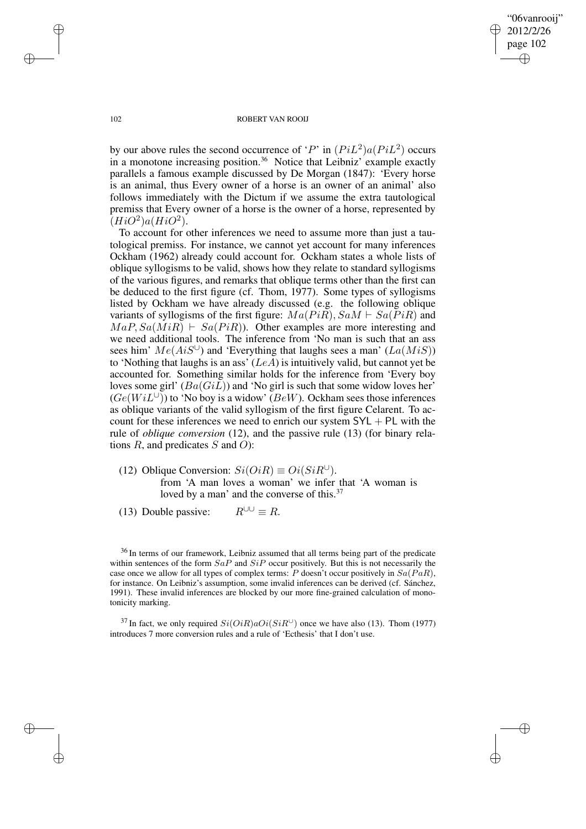"06vanrooij" 2012/2/26 page 102 ✐ ✐

✐

✐

#### 102 ROBERT VAN ROOIJ

by our above rules the second occurrence of 'P' in  $(PiL^2)a(PiL^2)$  occurs in a monotone increasing position.<sup>36</sup> Notice that Leibniz' example exactly parallels a famous example discussed by De Morgan (1847): 'Every horse is an animal, thus Every owner of a horse is an owner of an animal' also follows immediately with the Dictum if we assume the extra tautological premiss that Every owner of a horse is the owner of a horse, represented by  $(HiO^2)a(HiO^2).$ 

To account for other inferences we need to assume more than just a tautological premiss. For instance, we cannot yet account for many inferences Ockham (1962) already could account for. Ockham states a whole lists of oblique syllogisms to be valid, shows how they relate to standard syllogisms of the various figures, and remarks that oblique terms other than the first can be deduced to the first figure (cf. Thom, 1977). Some types of syllogisms listed by Ockham we have already discussed (e.g. the following oblique variants of syllogisms of the first figure:  $Ma(PiR), SaM \vdash Sa(PiR)$  and  $MaP, Sa(MiR) \vdash Sa(PiR)$ . Other examples are more interesting and we need additional tools. The inference from 'No man is such that an ass sees him'  $Me(AiS^{\cup})$  and 'Everything that laughs sees a man'  $(La(MiS))$ to 'Nothing that laughs is an ass'  $(LeA)$  is intuitively valid, but cannot yet be accounted for. Something similar holds for the inference from 'Every boy loves some girl'  $(Ba(GiL))$  and 'No girl is such that some widow loves her'  $(Ge(WiL^{\cup}))$  to 'No boy is a widow' ( $BeW$ ). Ockham sees those inferences as oblique variants of the valid syllogism of the first figure Celarent. To account for these inferences we need to enrich our system  $SYL + PL$  with the rule of *oblique conversion* (12), and the passive rule (13) (for binary relations  $R$ , and predicates  $S$  and  $O$ ):

(12) Oblique Conversion:  $Si(OiR) \equiv Oi(SiR^{\cup})$ . from 'A man loves a woman' we infer that 'A woman is loved by a man' and the converse of this.<sup>37</sup>

(13) Double passive:  $R^{\cup\cup} \equiv R$ .

<sup>36</sup> In terms of our framework, Leibniz assumed that all terms being part of the predicate within sentences of the form  $SaP$  and  $SiP$  occur positively. But this is not necessarily the case once we allow for all types of complex terms:  $P$  doesn't occur positively in  $Sa(PaR)$ , for instance. On Leibniz's assumption, some invalid inferences can be derived (cf. Sánchez, 1991). These invalid inferences are blocked by our more fine-grained calculation of monotonicity marking.

<sup>37</sup> In fact, we only required  $Si(OiR)aOi(SiR^{\cup})$  once we have also (13). Thom (1977) introduces 7 more conversion rules and a rule of 'Ecthesis' that I don't use.

✐

✐

✐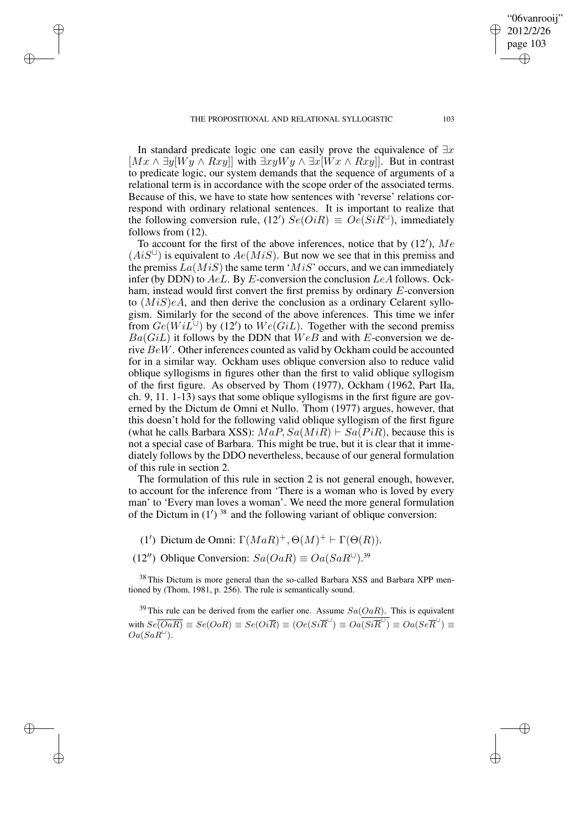✐

✐

✐

In standard predicate logic one can easily prove the equivalence of  $\exists x$  $[Mx \wedge \exists y[Wy \wedge Rxy]]$  with  $\exists xyWy \wedge \exists x[Wx \wedge Rxy]]$ . But in contrast to predicate logic, our system demands that the sequence of arguments of a relational term is in accordance with the scope order of the associated terms. Because of this, we have to state how sentences with 'reverse' relations correspond with ordinary relational sentences. It is important to realize that the following conversion rule, (12')  $Se(OiR) \equiv Oe(SiR^{\cup})$ , immediately follows from (12).

To account for the first of the above inferences, notice that by  $(12')$ , Me  $(AiS^{\cup})$  is equivalent to  $Ae(MiS)$ . But now we see that in this premiss and the premiss  $La(MiS)$  the same term ' $MiS$ ' occurs, and we can immediately infer (by DDN) to  $AeL$ . By E-conversion the conclusion  $LeA$  follows. Ockham, instead would first convert the first premiss by ordinary E-conversion to  $(MiS)eA$ , and then derive the conclusion as a ordinary Celarent syllogism. Similarly for the second of the above inferences. This time we infer from  $Ge(WiL^{\dot{\cup}})$  by (12') to  $We(GiL)$ . Together with the second premiss  $Ba(GiL)$  it follows by the DDN that  $WeB$  and with E-conversion we derive BeW. Other inferences counted as valid by Ockham could be accounted for in a similar way. Ockham uses oblique conversion also to reduce valid oblique syllogisms in figures other than the first to valid oblique syllogism of the first figure. As observed by Thom (1977), Ockham (1962, Part IIa, ch. 9, 11. 1-13) says that some oblique syllogisms in the first figure are governed by the Dictum de Omni et Nullo. Thom (1977) argues, however, that this doesn't hold for the following valid oblique syllogism of the first figure (what he calls Barbara XSS):  $MaP, Sa(MiR) \vdash Sa(PiR)$ , because this is not a special case of Barbara. This might be true, but it is clear that it immediately follows by the DDO nevertheless, because of our general formulation of this rule in section 2.

The formulation of this rule in section 2 is not general enough, however, to account for the inference from 'There is a woman who is loved by every man' to 'Every man loves a woman'. We need the more general formulation of the Dictum in  $(1')^{38}$  and the following variant of oblique conversion:

(1') Dictum de Omni:  $\Gamma(MaR)^+$ ,  $\Theta(M)^+$  +  $\Gamma(\Theta(R))$ .

(12") Oblique Conversion:  $Sa(OaR) \equiv Oa(SaR^{\cup})$ .<sup>39</sup>

<sup>38</sup> This Dictum is more general than the so-called Barbara XSS and Barbara XPP mentioned by (Thom, 1981, p. 256). The rule is semantically sound.

<sup>39</sup> This rule can be derived from the earlier one. Assume  $Sa(OaR)$ . This is equivalent with  $Se\overline{(OaR)} \equiv Se(OoR) \equiv Se(Oi\overline{R}) \equiv (Oe(Si\overline{R}^{\cup}) \equiv Oa(Si\overline{R}^{\cup}) \equiv Oa(se\overline{R}^{\cup}) \equiv$  $Oa(Sa\grave{R}^{\cup}).$ 

"06vanrooij" 2012/2/26 page 103

✐

✐

✐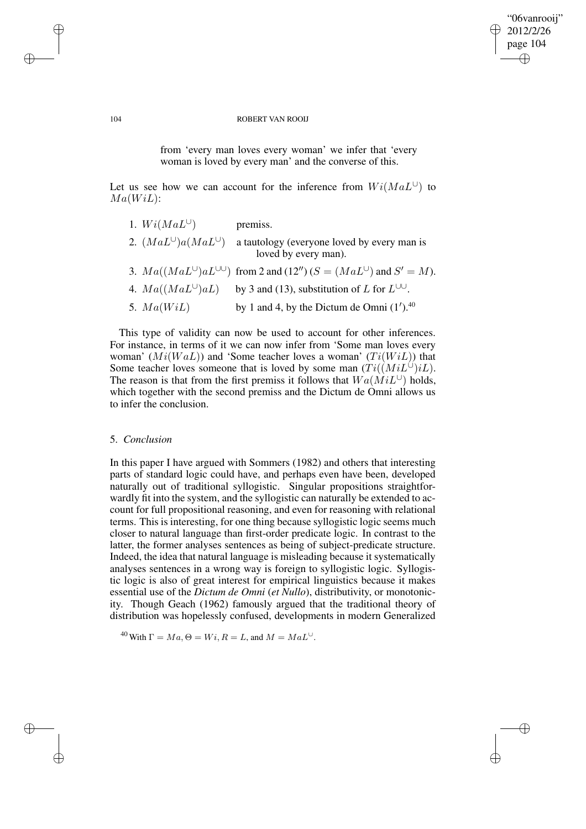# "06vanrooij" 2012/2/26 page 104 ✐ ✐

✐

✐

#### 104 ROBERT VAN ROOIJ

from 'every man loves every woman' we infer that 'every woman is loved by every man' and the converse of this.

Let us see how we can account for the inference from  $Wi(MaL^{\cup})$  to  $Ma(WiL):$ 

| 1. $Wi(MaL^{\cup})$            | premiss.                                                                                 |
|--------------------------------|------------------------------------------------------------------------------------------|
| 2. $(MaL^{\cup})a(MaL^{\cup})$ | a tautology (everyone loved by every man is<br>loved by every man).                      |
|                                | 3. $Ma((MaL^{\cup})aL^{\cup\cup})$ from 2 and (12") ( $S = (MaL^{\cup})$ and $S' = M$ ). |
| 4. $Ma((MaL^{\cup})aL)$        | by 3 and (13), substitution of L for $L^{\cup\cup}$ .                                    |
| 5. $Ma(WiL)$                   | by 1 and 4, by the Dictum de Omni $(1')$ . <sup>40</sup>                                 |

This type of validity can now be used to account for other inferences. For instance, in terms of it we can now infer from 'Some man loves every woman'  $(Mi(WaL))$  and 'Some teacher loves a woman'  $(Ti(WiL))$  that Some teacher loves someone that is loved by some man  $(Ti((MiL^{\cup})iL)$ . The reason is that from the first premiss it follows that  $Wa(MiL^{\cup})$  holds, which together with the second premiss and the Dictum de Omni allows us to infer the conclusion.

# 5. *Conclusion*

In this paper I have argued with Sommers (1982) and others that interesting parts of standard logic could have, and perhaps even have been, developed naturally out of traditional syllogistic. Singular propositions straightforwardly fit into the system, and the syllogistic can naturally be extended to account for full propositional reasoning, and even for reasoning with relational terms. This is interesting, for one thing because syllogistic logic seems much closer to natural language than first-order predicate logic. In contrast to the latter, the former analyses sentences as being of subject-predicate structure. Indeed, the idea that natural language is misleading because it systematically analyses sentences in a wrong way is foreign to syllogistic logic. Syllogistic logic is also of great interest for empirical linguistics because it makes essential use of the *Dictum de Omni* (*et Nullo*), distributivity, or monotonicity. Though Geach (1962) famously argued that the traditional theory of distribution was hopelessly confused, developments in modern Generalized

<sup>40</sup> With  $\Gamma = Ma$ ,  $\Theta = Wi$ ,  $R = L$ , and  $M = MaL^{\cup}$ .

✐

✐

✐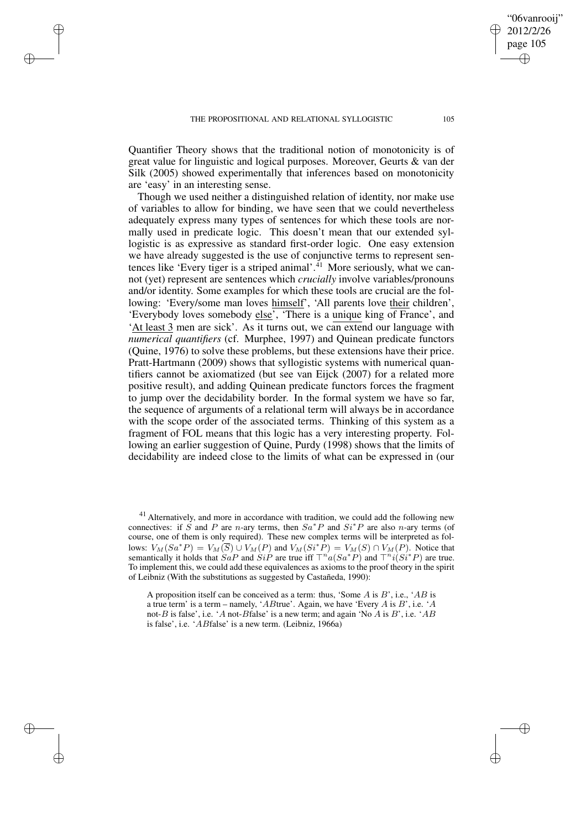✐

✐

✐

Quantifier Theory shows that the traditional notion of monotonicity is of great value for linguistic and logical purposes. Moreover, Geurts & van der Silk (2005) showed experimentally that inferences based on monotonicity are 'easy' in an interesting sense.

Though we used neither a distinguished relation of identity, nor make use of variables to allow for binding, we have seen that we could nevertheless adequately express many types of sentences for which these tools are normally used in predicate logic. This doesn't mean that our extended syllogistic is as expressive as standard first-order logic. One easy extension we have already suggested is the use of conjunctive terms to represent sentences like 'Every tiger is a striped animal'.<sup> $41$ </sup> More seriously, what we cannot (yet) represent are sentences which *crucially* involve variables/pronouns and/or identity. Some examples for which these tools are crucial are the following: 'Every/some man loves himself', 'All parents love their children', 'Everybody loves somebody else', 'There is a unique king of France', and 'At least 3 men are sick'. As it turns out, we can extend our language with *numerical quantifiers* (cf. Murphee, 1997) and Quinean predicate functors (Quine, 1976) to solve these problems, but these extensions have their price. Pratt-Hartmann (2009) shows that syllogistic systems with numerical quantifiers cannot be axiomatized (but see van Eijck (2007) for a related more positive result), and adding Quinean predicate functors forces the fragment to jump over the decidability border. In the formal system we have so far, the sequence of arguments of a relational term will always be in accordance with the scope order of the associated terms. Thinking of this system as a fragment of FOL means that this logic has a very interesting property. Following an earlier suggestion of Quine, Purdy (1998) shows that the limits of decidability are indeed close to the limits of what can be expressed in (our

<sup>41</sup> Alternatively, and more in accordance with tradition, we could add the following new connectives: if S and P are n-ary terms, then  $Sa^*P$  and  $Si^*P$  are also n-ary terms (of course, one of them is only required). These new complex terms will be interpreted as follows:  $V_M(Sa^*P) = V_M(\overline{S}) \cup V_M(P)$  and  $V_M(Si^*P) = V_M(S) \cap V_M(P)$ . Notice that semantically it holds that  $SaP$  and  $SiP$  are true iff  $\top^n a(Sa^*P)$  and  $\top^n i(Si^*P)$  are true. To implement this, we could add these equivalences as axioms to the proof theory in the spirit of Leibniz (With the substitutions as suggested by Castañeda, 1990):

A proposition itself can be conceived as a term: thus, 'Some  $A$  is  $B'$ , i.e., ' $AB$  is a true term' is a term – namely, 'ABtrue'. Again, we have 'Every A is B', i.e. 'A not-B is false', i.e. 'A not-Bfalse' is a new term; and again 'No A is B', i.e. 'AB is false', i.e. 'ABfalse' is a new term. (Leibniz, 1966a)

"06vanrooij" 2012/2/26 page 105

✐

✐

✐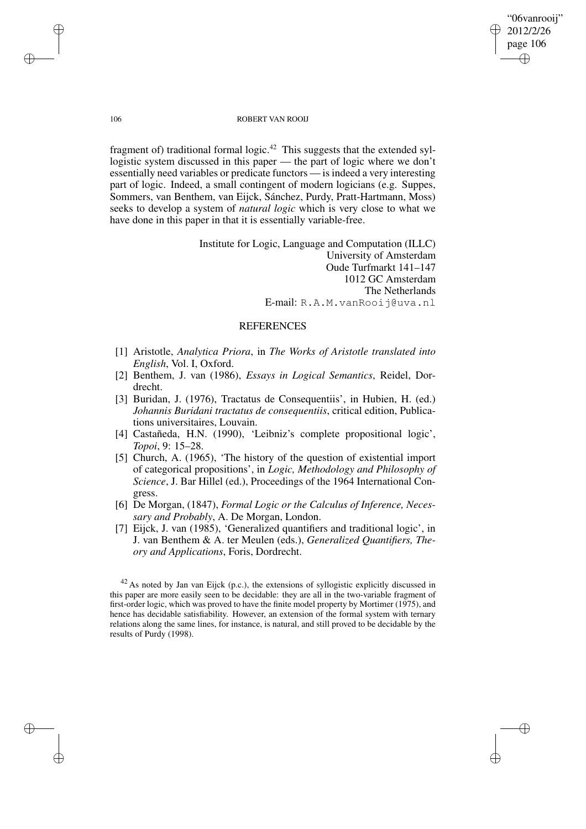"06vanrooij" 2012/2/26 page 106 ✐ ✐

✐

✐

#### 106 ROBERT VAN ROOIJ

fragment of) traditional formal logic.<sup>42</sup> This suggests that the extended syllogistic system discussed in this paper — the part of logic where we don't essentially need variables or predicate functors — isindeed a very interesting part of logic. Indeed, a small contingent of modern logicians (e.g. Suppes, Sommers, van Benthem, van Eijck, Sánchez, Purdy, Pratt-Hartmann, Moss) seeks to develop a system of *natural logic* which is very close to what we have done in this paper in that it is essentially variable-free.

> Institute for Logic, Language and Computation (ILLC) University of Amsterdam Oude Turfmarkt 141–147 1012 GC Amsterdam The Netherlands E-mail: R.A.M.vanRooij@uva.nl

## REFERENCES

- [1] Aristotle, *Analytica Priora*, in *The Works of Aristotle translated into English*, Vol. I, Oxford.
- [2] Benthem, J. van (1986), *Essays in Logical Semantics*, Reidel, Dordrecht.
- [3] Buridan, J. (1976), Tractatus de Consequentiis', in Hubien, H. (ed.) *Johannis Buridani tractatus de consequentiis*, critical edition, Publications universitaires, Louvain.
- [4] Castañeda, H.N. (1990), 'Leibniz's complete propositional logic', *Topoi*, 9: 15–28.
- [5] Church, A. (1965), 'The history of the question of existential import of categorical propositions', in *Logic, Methodology and Philosophy of Science*, J. Bar Hillel (ed.), Proceedings of the 1964 International Congress.
- [6] De Morgan, (1847), *Formal Logic or the Calculus of Inference, Necessary and Probably*, A. De Morgan, London.
- [7] Eijck, J. van (1985), 'Generalized quantifiers and traditional logic', in J. van Benthem & A. ter Meulen (eds.), *Generalized Quantifiers, Theory and Applications*, Foris, Dordrecht.

✐

✐

✐

 $42$  As noted by Jan van Eijck (p.c.), the extensions of syllogistic explicitly discussed in this paper are more easily seen to be decidable: they are all in the two-variable fragment of first-order logic, which was proved to have the finite model property by Mortimer (1975), and hence has decidable satisfiability. However, an extension of the formal system with ternary relations along the same lines, for instance, is natural, and still proved to be decidable by the results of Purdy (1998).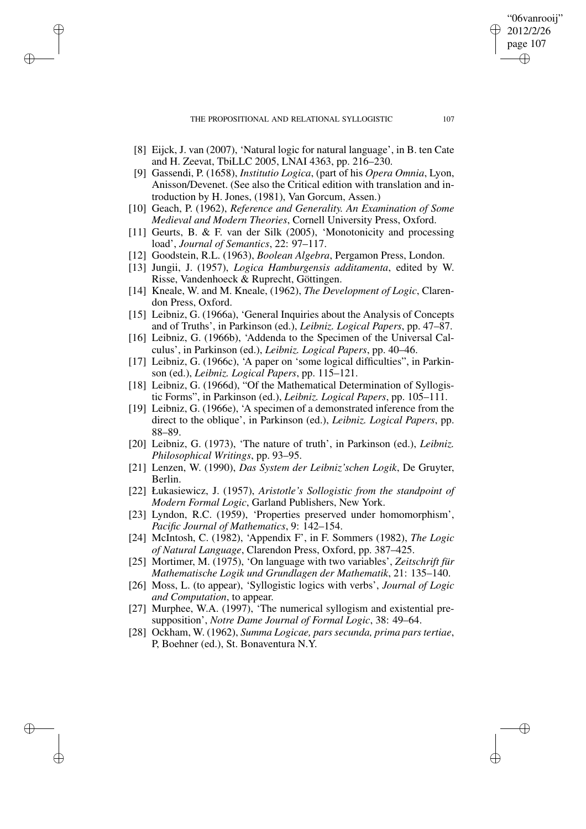THE PROPOSITIONAL AND RELATIONAL SYLLOGISTIC 107

✐

✐

✐

✐

- [8] Eijck, J. van (2007), 'Natural logic for natural language', in B. ten Cate and H. Zeevat, TbiLLC 2005, LNAI 4363, pp. 216–230.
- [9] Gassendi, P. (1658), *Institutio Logica*, (part of his *Opera Omnia*, Lyon, Anisson/Devenet. (See also the Critical edition with translation and introduction by H. Jones, (1981), Van Gorcum, Assen.)
- [10] Geach, P. (1962), *Reference and Generality. An Examination of Some Medieval and Modern Theories*, Cornell University Press, Oxford.
- [11] Geurts, B. & F. van der Silk (2005), 'Monotonicity and processing load', *Journal of Semantics*, 22: 97–117.
- [12] Goodstein, R.L. (1963), *Boolean Algebra*, Pergamon Press, London.
- [13] Jungii, J. (1957), *Logica Hamburgensis additamenta*, edited by W. Risse, Vandenhoeck & Ruprecht, Göttingen.
- [14] Kneale, W. and M. Kneale, (1962), *The Development of Logic*, Clarendon Press, Oxford.
- [15] Leibniz, G. (1966a), 'General Inquiries about the Analysis of Concepts and of Truths', in Parkinson (ed.), *Leibniz. Logical Papers*, pp. 47–87.
- [16] Leibniz, G. (1966b), 'Addenda to the Specimen of the Universal Calculus', in Parkinson (ed.), *Leibniz. Logical Papers*, pp. 40–46.
- [17] Leibniz, G. (1966c), 'A paper on 'some logical difficulties", in Parkinson (ed.), *Leibniz. Logical Papers*, pp. 115–121.
- [18] Leibniz, G. (1966d), "Of the Mathematical Determination of Syllogistic Forms", in Parkinson (ed.), *Leibniz. Logical Papers*, pp. 105–111.
- [19] Leibniz, G. (1966e), 'A specimen of a demonstrated inference from the direct to the oblique', in Parkinson (ed.), *Leibniz. Logical Papers*, pp. 88–89.
- [20] Leibniz, G. (1973), 'The nature of truth', in Parkinson (ed.), *Leibniz. Philosophical Writings*, pp. 93–95.
- [21] Lenzen, W. (1990), *Das System der Leibniz'schen Logik*, De Gruyter, Berlin.
- [22] Łukasiewicz, J. (1957), *Aristotle's Sollogistic from the standpoint of Modern Formal Logic*, Garland Publishers, New York.
- [23] Lyndon, R.C. (1959), 'Properties preserved under homomorphism', *Pacific Journal of Mathematics*, 9: 142–154.
- [24] McIntosh, C. (1982), 'Appendix F', in F. Sommers (1982), *The Logic of Natural Language*, Clarendon Press, Oxford, pp. 387–425.
- [25] Mortimer, M. (1975), 'On language with two variables', *Zeitschrift für Mathematische Logik und Grundlagen der Mathematik*, 21: 135–140.
- [26] Moss, L. (to appear), 'Syllogistic logics with verbs', *Journal of Logic and Computation*, to appear.
- [27] Murphee, W.A. (1997), 'The numerical syllogism and existential presupposition', *Notre Dame Journal of Formal Logic*, 38: 49–64.
- [28] Ockham, W. (1962), *Summa Logicae, pars secunda, prima pars tertiae*, P, Boehner (ed.), St. Bonaventura N.Y.

"06vanrooij" 2012/2/26 page 107

✐

✐

✐